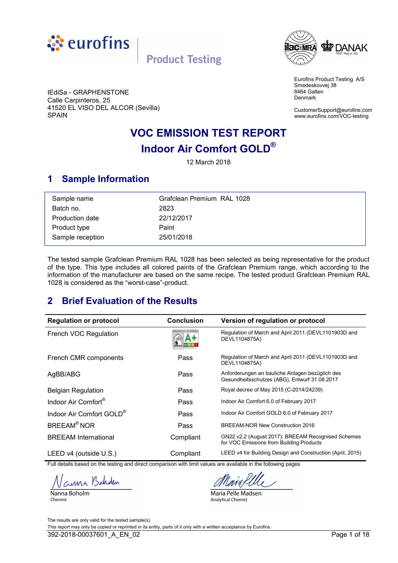<span id="page-0-0"></span>



Eurofins Product Testing A/S Smedeskovvej 38 8464 Galten Denmark

IEdiSa - GRAPHENSTONE Calle Carpinteros, 25 41520 EL VISO DEL ALCOR (Sevilla) SPAIN

CustomerSupport@eurofins.com www.eurofins.com/VOC-testing

# **VOC EMISSION TEST REPORT Indoor Air Comfort GOLD®**

12 March 2018

## **1 Sample Information**

| Sample name      | Grafclean Premium RAL 1028 |
|------------------|----------------------------|
| Batch no.        | 2823                       |
| Production date  | 22/12/2017                 |
| Product type     | Paint                      |
| Sample reception | 25/01/2018                 |

The tested sample Grafclean Premium RAL 1028 has been selected as being representative for the product of the type. This type includes all colored paints of the Grafclean Premium range, which according to the information of the manufacturer are based on the same recipe. The tested product Grafclean Premium RAL 1028 is considered as the "worst-case"-product.

# **2 Brief Evaluation of the Results**

| <b>Regulation or protocol</b>        | <b>Conclusion</b>                  | Version of regulation or protocol                                                                |
|--------------------------------------|------------------------------------|--------------------------------------------------------------------------------------------------|
| French VOC Regulation                | <b>SSIONS DANS L'AIR INTÉRIEUR</b> | Regulation of March and April 2011 (DEVL1101903D and<br>DEVL1104875A)                            |
| French CMR components                | Pass                               | Regulation of March and April 2011 (DEVL1101903D and<br>DEVL1104875A)                            |
| AgBB/ABG                             | Pass                               | Anforderungen an bauliche Anlagen bezüglich des<br>Gesundheitsschutzes (ABG), Entwurf 31.08.2017 |
| <b>Belgian Regulation</b>            | Pass                               | Royal decree of May 2015 (C-2014/24239)                                                          |
| Indoor Air Comfort <sup>®</sup>      | Pass                               | Indoor Air Comfort 6.0 of February 2017                                                          |
| Indoor Air Comfort GOLD <sup>®</sup> | Pass                               | Indoor Air Comfort GOLD 6.0 of February 2017                                                     |
| <b>BREEAM<sup>®</sup>NOR</b>         | Pass                               | BREEAM-NOR New Construction 2016                                                                 |
| <b>BREEAM</b> International          | Compliant                          | GN22 v2.2 (August 2017): BREEAM Recognised Schemes<br>for VOC Emissions from Building Products   |
| LEED v4 (outside U.S.)               | Compliant                          | LEED v4 for Building Design and Construction (April, 2015)                                       |

Full details based on the testing and direct comparison with limit values are available in the following pages

Nanna Boholm Chemist

Maria Pelle Madsen **Analytical Chemist** 

The results are only valid for the tested sample(s). This report may only be copied or reprinted in its entity, parts of it only with a written acceptance by Eurofins. 392-2018-00037601 A EN 02 Page 1 of 18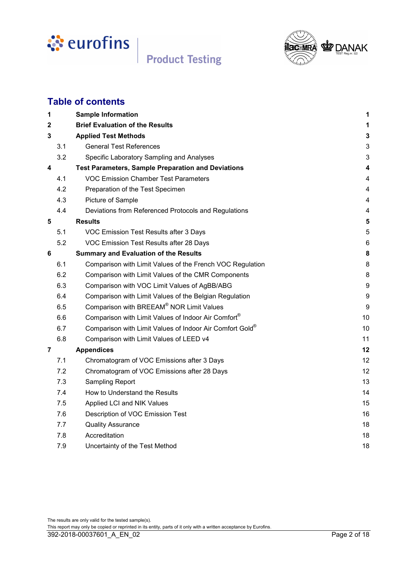



# **Table of contents**

| 1   | <b>Sample Information</b>                                 | 1                |
|-----|-----------------------------------------------------------|------------------|
| 2   | <b>Brief Evaluation of the Results</b>                    | 1                |
| 3   | <b>Applied Test Methods</b>                               | 3                |
| 3.1 | <b>General Test References</b>                            | 3                |
| 3.2 | Specific Laboratory Sampling and Analyses                 | 3                |
| 4   | <b>Test Parameters, Sample Preparation and Deviations</b> | 4                |
| 4.1 | <b>VOC Emission Chamber Test Parameters</b>               | 4                |
| 4.2 | Preparation of the Test Specimen                          | 4                |
| 4.3 | Picture of Sample                                         | 4                |
| 4.4 | Deviations from Referenced Protocols and Regulations      | 4                |
| 5   | <b>Results</b>                                            | 5                |
| 5.1 | VOC Emission Test Results after 3 Days                    | 5                |
| 5.2 | VOC Emission Test Results after 28 Days                   | $\,6$            |
| 6   | <b>Summary and Evaluation of the Results</b>              | 8                |
| 6.1 | Comparison with Limit Values of the French VOC Regulation | 8                |
| 6.2 | Comparison with Limit Values of the CMR Components        | 8                |
| 6.3 | Comparison with VOC Limit Values of AgBB/ABG              | $\boldsymbol{9}$ |
| 6.4 | Comparison with Limit Values of the Belgian Regulation    | 9                |
| 6.5 | Comparison with BREEAM® NOR Limit Values                  | 9                |
| 6.6 | Comparison with Limit Values of Indoor Air Comfort®       | 10               |
| 6.7 | Comparison with Limit Values of Indoor Air Comfort Gold®  | 10               |
| 6.8 | Comparison with Limit Values of LEED v4                   | 11               |
| 7   | <b>Appendices</b>                                         | 12               |
| 7.1 | Chromatogram of VOC Emissions after 3 Days                | 12               |
| 7.2 | Chromatogram of VOC Emissions after 28 Days               | 12               |
| 7.3 | <b>Sampling Report</b>                                    | 13               |
| 7.4 | How to Understand the Results                             | 14               |
| 7.5 | Applied LCI and NIK Values                                | 15               |
| 7.6 | Description of VOC Emission Test                          | 16               |
| 7.7 | <b>Quality Assurance</b>                                  | 18               |
| 7.8 | Accreditation                                             | 18               |
| 7.9 | Uncertainty of the Test Method                            | 18               |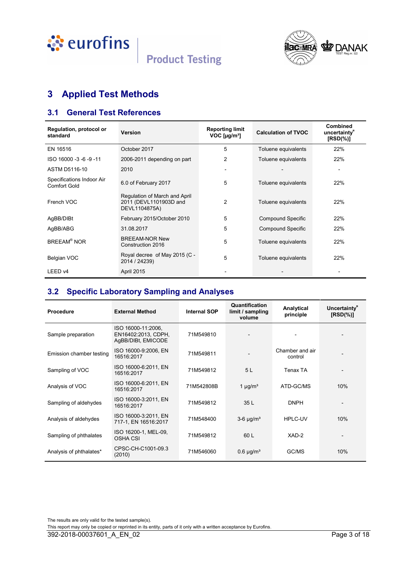<span id="page-2-0"></span>





# **3 Applied Test Methods**

## **3.1 General Test References**

| Regulation, protocol or<br>standard              | <b>Version</b>                                                           | <b>Reporting limit</b><br>$VOC$ [µg/m <sup>3</sup> ] | <b>Calculation of TVOC</b> | <b>Combined</b><br>uncertainty <sup>"</sup><br>$[RSD(\%)]$ |
|--------------------------------------------------|--------------------------------------------------------------------------|------------------------------------------------------|----------------------------|------------------------------------------------------------|
| EN 16516                                         | October 2017                                                             | 5                                                    | Toluene equivalents        | 22%                                                        |
| ISO 16000 -3 -6 -9 -11                           | 2006-2011 depending on part                                              | 2                                                    | Toluene equivalents        | 22%                                                        |
| ASTM D5116-10                                    | 2010                                                                     |                                                      |                            | $\overline{\phantom{0}}$                                   |
| Specifications Indoor Air<br><b>Comfort Gold</b> | 6.0 of February 2017                                                     | 5                                                    | Toluene equivalents        | 22%                                                        |
| French VOC                                       | Regulation of March and April<br>2011 (DEVL1101903D and<br>DEVL1104875A) | 2                                                    | Toluene equivalents        | 22%                                                        |
| AgBB/DIBt                                        | February 2015/October 2010                                               | 5                                                    | <b>Compound Specific</b>   | 22%                                                        |
| AgBB/ABG                                         | 31.08.2017                                                               | 5                                                    | <b>Compound Specific</b>   | 22%                                                        |
| <b>BREEAM<sup>®</sup> NOR</b>                    | <b>BREEAM-NOR New</b><br>Construction 2016                               | 5                                                    | Toluene equivalents        | 22%                                                        |
| Belgian VOC                                      | Royal decree of May 2015 (C -<br>2014 / 24239)                           | 5                                                    | Toluene equivalents        | 22%                                                        |
| LEED <sub>v4</sub>                               | April 2015                                                               |                                                      |                            |                                                            |

## **3.2 Specific Laboratory Sampling and Analyses**

| <b>Procedure</b>         | <b>External Method</b>                                          | <b>Internal SOP</b> | Quantification<br>limit / sampling<br>volume | Analytical<br>principle    | Uncertainty <sup>®</sup><br>$[RSD(\%)]$ |
|--------------------------|-----------------------------------------------------------------|---------------------|----------------------------------------------|----------------------------|-----------------------------------------|
| Sample preparation       | ISO 16000-11:2006.<br>EN16402:2013, CDPH,<br>AgBB/DIBt, EMICODE | 71M549810           |                                              |                            |                                         |
| Emission chamber testing | ISO 16000-9:2006, EN<br>16516:2017                              | 71M549811           |                                              | Chamber and air<br>control |                                         |
| Sampling of VOC          | ISO 16000-6:2011, EN<br>16516:2017                              | 71M549812           | 5L                                           | Tenax TA                   |                                         |
| Analysis of VOC          | ISO 16000-6:2011, EN<br>16516:2017                              | 71M542808B          | 1 $\mu$ g/m <sup>3</sup>                     | ATD-GC/MS                  | 10%                                     |
| Sampling of aldehydes    | ISO 16000-3:2011, EN<br>16516:2017                              | 71M549812           | 35L                                          | <b>DNPH</b>                |                                         |
| Analysis of aldehydes    | ISO 16000-3:2011, EN<br>717-1, EN 16516:2017                    | 71M548400           | $3-6 \mu g/m^3$                              | HPLC-UV                    | 10%                                     |
| Sampling of phthalates   | ISO 16200-1, MEL-09,<br><b>OSHA CSI</b>                         | 71M549812           | 60 L                                         | XAD-2                      |                                         |
| Analysis of phthalates*  | CPSC-CH-C1001-09.3<br>(2010)                                    | 71M546060           | $0.6 \mu g/m3$                               | GC/MS                      | 10%                                     |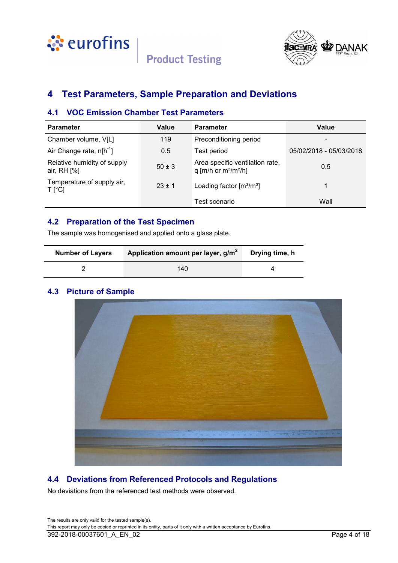<span id="page-3-0"></span>



## **4 Test Parameters, Sample Preparation and Deviations**

### **4.1 VOC Emission Chamber Test Parameters**

| <b>Parameter</b>                                  | Value      | <b>Parameter</b>                                           | Value                   |
|---------------------------------------------------|------------|------------------------------------------------------------|-------------------------|
| Chamber volume, V[L]                              | 119        | Preconditioning period                                     |                         |
| Air Change rate, $n[h^{-1}]$                      | 0.5        | Test period                                                | 05/02/2018 - 05/03/2018 |
| Relative humidity of supply<br>air, $RH$ [%]      | $50 \pm 3$ | Area specific ventilation rate,<br>q [m/h or $m^3/m^2/h$ ] | 0.5                     |
| Temperature of supply air,<br>$T$ [ $^{\circ}$ C] | $23 \pm 1$ | Loading factor $[m^2/m^3]$                                 |                         |
|                                                   |            | Test scenario                                              | Wall                    |

## **4.2 Preparation of the Test Specimen**

The sample was homogenised and applied onto a glass plate.

| <b>Number of Layers</b> | Application amount per layer, g/m <sup>2</sup> | Drying time, h |
|-------------------------|------------------------------------------------|----------------|
|                         | 140                                            |                |

## **4.3 Picture of Sample**



## **4.4 Deviations from Referenced Protocols and Regulations**

No deviations from the referenced test methods were observed.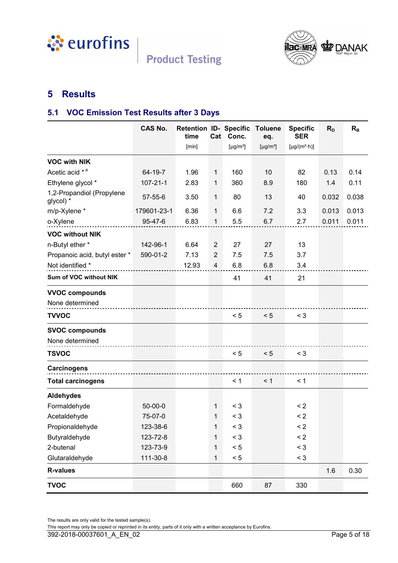<span id="page-4-0"></span>



# **5 Results**

## **5.1 VOC Emission Test Results after 3 Days**

|                                        | <b>CAS No.</b> | <b>Retention ID- Specific</b><br>time | Cat            | Conc.                      | <b>Toluene</b><br>eq.      | <b>Specific</b><br><b>SER</b> | $R_{D}$ | $R_{B}$ |
|----------------------------------------|----------------|---------------------------------------|----------------|----------------------------|----------------------------|-------------------------------|---------|---------|
|                                        |                | [min]                                 |                | [ $\mu$ g/m <sup>3</sup> ] | [ $\mu$ g/m <sup>3</sup> ] | $[\mu g/(m^2 \cdot h)]$       |         |         |
| <b>VOC with NIK</b>                    |                |                                       |                |                            |                            |                               |         |         |
| Acetic acid * <sup>a</sup>             | 64-19-7        | 1.96                                  | 1              | 160                        | 10                         | 82                            | 0.13    | 0.14    |
| Ethylene glycol *                      | $107 - 21 - 1$ | 2.83                                  | 1              | 360                        | 8.9                        | 180                           | 1.4     | 0.11    |
| 1,2-Propandiol (Propylene<br>glycol) * | 57-55-6        | 3.50                                  | $\mathbf{1}$   | 80                         | 13                         | 40                            | 0.032   | 0.038   |
| m/p-Xylene *                           | 179601-23-1    | 6.36                                  | 1              | 6.6                        | 7.2                        | 3.3                           | 0.013   | 0.013   |
| o-Xylene                               | 95-47-6        | 6.83                                  | 1              | 5.5                        | 6.7                        | 2.7                           | 0.011   | 0.011   |
| <b>VOC without NIK</b>                 |                |                                       |                |                            |                            |                               |         |         |
| n-Butyl ether *                        | 142-96-1       | 6.64                                  | $\overline{2}$ | 27                         | 27                         | 13                            |         |         |
| Propanoic acid, butyl ester *          | 590-01-2       | 7.13                                  | $\overline{2}$ | 7.5                        | 7.5                        | 3.7                           |         |         |
| Not identified *                       |                | 12.93                                 | 4              | 6.8                        | 6.8                        | 3.4                           |         |         |
| Sum of VOC without NIK                 |                |                                       |                | 41                         | 41                         | 21                            |         |         |
| <b>VVOC compounds</b>                  |                |                                       |                |                            |                            |                               |         |         |
| None determined                        |                |                                       |                |                            |                            |                               |         |         |
| <b>TVVOC</b>                           |                |                                       |                | < 5                        | < 5                        | $<$ 3                         |         |         |
| <b>SVOC compounds</b>                  |                |                                       |                |                            |                            |                               |         |         |
| None determined                        |                |                                       |                |                            |                            |                               |         |         |
| <b>TSVOC</b>                           |                |                                       |                | < 5                        | < 5                        | $<$ 3                         |         |         |
| <b>Carcinogens</b>                     |                |                                       |                |                            |                            |                               |         |         |
| <b>Total carcinogens</b>               |                |                                       |                | < 1                        | < 1                        | < 1                           |         |         |
| <b>Aldehydes</b>                       |                |                                       |                |                            |                            |                               |         |         |
| Formaldehyde                           | $50 - 00 - 0$  |                                       | 1              | $<$ 3                      |                            | $\leq$ 2                      |         |         |
| Acetaldehyde                           | 75-07-0        |                                       | 1              | $<$ 3                      |                            | $\leq$ 2                      |         |         |
| Propionaldehyde                        | 123-38-6       |                                       | 1              | $<$ 3                      |                            | $\leq$ 2                      |         |         |
| Butyraldehyde                          | 123-72-8       |                                       | $\mathbf{1}$   | $<$ 3                      |                            | $\leq$ 2                      |         |         |
| 2-butenal                              | 123-73-9       |                                       | 1              | < 5                        |                            | $<$ 3                         |         |         |
| Glutaraldehyde                         | 111-30-8       |                                       | 1              | < 5                        |                            | $<$ 3                         |         |         |
| <b>R-values</b>                        |                |                                       |                |                            |                            |                               | 1.6     | 0.30    |
| <b>TVOC</b>                            |                |                                       |                | 660                        | 87                         | 330                           |         |         |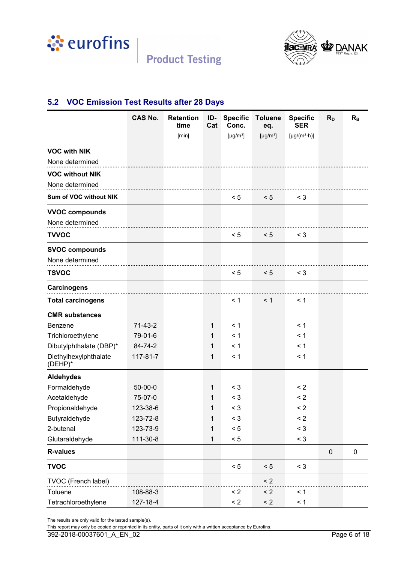<span id="page-5-0"></span>



## **5.2 VOC Emission Test Results after 28 Days**

|                                  | <b>CAS No.</b> | <b>Retention</b><br>time | ID-<br>Cat   | <b>Specific</b><br>Conc.   | <b>Toluene</b><br>eq.      | <b>Specific</b><br><b>SER</b>  | $R_{D}$   | $R_{B}$   |
|----------------------------------|----------------|--------------------------|--------------|----------------------------|----------------------------|--------------------------------|-----------|-----------|
|                                  |                | [min]                    |              | [ $\mu$ g/m <sup>3</sup> ] | [ $\mu$ g/m <sup>3</sup> ] | [ $\mu$ g/(m <sup>2</sup> ·h)] |           |           |
| <b>VOC with NIK</b>              |                |                          |              |                            |                            |                                |           |           |
| None determined                  |                |                          |              |                            |                            |                                |           |           |
| <b>VOC without NIK</b>           |                |                          |              |                            |                            |                                |           |           |
| None determined                  |                |                          |              |                            |                            |                                |           |           |
| Sum of VOC without NIK           |                |                          |              | < 5                        | < 5                        | $<$ 3                          |           |           |
| <b>VVOC compounds</b>            |                |                          |              |                            |                            |                                |           |           |
| None determined                  |                |                          |              |                            |                            |                                |           |           |
| <b>TVVOC</b>                     |                |                          |              | < 5                        | < 5                        | $<$ 3                          |           |           |
| <b>SVOC compounds</b>            |                |                          |              |                            |                            |                                |           |           |
| None determined                  |                |                          |              |                            |                            |                                |           |           |
| <b>TSVOC</b>                     |                |                          |              | < 5                        | < 5                        | $<$ 3                          |           |           |
| <b>Carcinogens</b>               |                |                          |              |                            |                            |                                |           |           |
| <b>Total carcinogens</b>         |                |                          |              | < 1                        | < 1                        | < 1                            |           |           |
| <b>CMR substances</b>            |                |                          |              |                            |                            |                                |           |           |
| <b>Benzene</b>                   | $71-43-2$      |                          | $\mathbf{1}$ | < 1                        |                            | < 1                            |           |           |
| Trichloroethylene                | 79-01-6        |                          | $\mathbf{1}$ | < 1                        |                            | < 1                            |           |           |
| Dibutylphthalate (DBP)*          | 84-74-2        |                          | 1            | < 1                        |                            | < 1                            |           |           |
| Diethylhexylphthalate<br>(DEHP)* | 117-81-7       |                          | 1            | < 1                        |                            | < 1                            |           |           |
| <b>Aldehydes</b>                 |                |                          |              |                            |                            |                                |           |           |
| Formaldehyde                     | $50-00-0$      |                          | 1            | $<$ 3                      |                            | $\leq$ 2                       |           |           |
| Acetaldehyde                     | 75-07-0        |                          | 1            | $<$ 3                      |                            | $\leq$ 2                       |           |           |
| Propionaldehyde                  | 123-38-6       |                          | 1            | $<$ 3                      |                            | $\leq$ 2                       |           |           |
| Butyraldehyde                    | 123-72-8       |                          | 1            | $<$ 3                      |                            | $\leq$ 2                       |           |           |
| 2-butenal                        | 123-73-9       |                          | $\mathbf{1}$ | < 5                        |                            | $<$ 3                          |           |           |
| Glutaraldehyde                   | 111-30-8       |                          | $\mathbf{1}$ | < 5                        |                            | $<$ 3                          |           |           |
| <b>R-values</b>                  |                |                          |              |                            |                            |                                | $\pmb{0}$ | $\pmb{0}$ |
| <b>TVOC</b>                      |                |                          |              | < 5                        | < 5                        | $<$ 3                          |           |           |
| TVOC (French label)              |                |                          |              |                            | < 2                        |                                |           |           |
| Toluene                          | 108-88-3       |                          |              | $\leq$ 2                   | $\leq$ 2                   | < 1                            |           |           |
| Tetrachloroethylene              | 127-18-4       |                          |              | $\leq$ 2                   | $\leq$ 2                   | < 1                            |           |           |

The results are only valid for the tested sample(s).

This report may only be copied or reprinted in its entity, parts of it only with a written acceptance by Eurofins.

392-2018-00037601\_A\_EN\_02 Page 6 of 18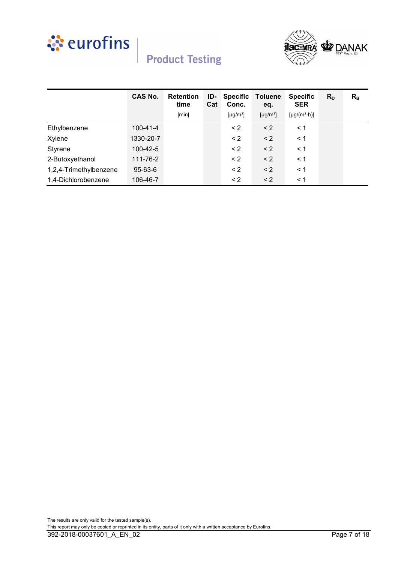



|                        | <b>CAS No.</b> | <b>Retention</b><br>time | ID-<br>Cat | <b>Specific</b><br>Conc. | <b>Toluene</b><br>eq.     | <b>Specific</b><br><b>SER</b> | $R_{D}$ | $R_{B}$ |
|------------------------|----------------|--------------------------|------------|--------------------------|---------------------------|-------------------------------|---------|---------|
|                        |                | [min]                    |            | [µg/m <sup>3</sup> ]     | $[\mu$ g/m <sup>3</sup> ] | $[\mu g/(m^2 \cdot h)]$       |         |         |
| Ethylbenzene           | $100 - 41 - 4$ |                          |            | $\leq$ 2                 | $\leq$ 2                  | $\leq 1$                      |         |         |
| Xylene                 | 1330-20-7      |                          |            | $\leq$ 2                 | $\leq$ 2                  | $\leq 1$                      |         |         |
| Styrene                | 100-42-5       |                          |            | $\leq$ 2                 | $\leq$ 2                  | < 1                           |         |         |
| 2-Butoxyethanol        | 111-76-2       |                          |            | $\leq$ 2                 | $\leq$ 2                  | $\leq 1$                      |         |         |
| 1,2,4-Trimethylbenzene | 95-63-6        |                          |            | $\leq$ 2                 | $\leq$ 2                  | $\leq$ 1                      |         |         |
| 1,4-Dichlorobenzene    | 106-46-7       |                          |            | $\leq$ 2                 | $\leq$ 2                  | $\leq$ 1                      |         |         |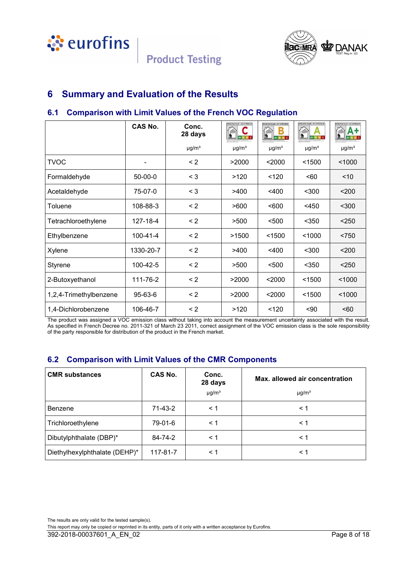<span id="page-7-0"></span>



## **6 Summary and Evaluation of the Results**

## **6.1 Comparison with Limit Values of the French VOC Regulation**

|                        | CAS No.        | Conc.<br>28 days       | <b>EMISSIONS DANS L'AIR INTÉRIEUR</b> | <b>EMISSIONS DANS L'AIR INTÉRIEUR</b> | <b>EMISSIONS DANS L'AIR INTÉRIEUR</b><br>●<br>Lib.<br>A+ A B C | <b>PHISSIONS DANS L'AIR INTÉRIEUR</b> |
|------------------------|----------------|------------------------|---------------------------------------|---------------------------------------|----------------------------------------------------------------|---------------------------------------|
|                        |                | $\mu$ g/m <sup>3</sup> | $\mu$ g/m <sup>3</sup>                | $\mu$ g/m <sup>3</sup>                | $\mu$ g/m <sup>3</sup>                                         | $\mu$ g/m <sup>3</sup>                |
| <b>TVOC</b>            |                | $\leq$ 2               | >2000                                 | $2000$                                | < 1500                                                         | < 1000                                |
| Formaldehyde           | $50-00-0$      | $\leq 3$               | >120                                  | 120                                   | < 60                                                           | < 10                                  |
| Acetaldehyde           | 75-07-0        | $\leq 3$               | >400                                  | $<$ 400                               | $300$                                                          | 200                                   |
| Toluene                | 108-88-3       | $\leq$ 2               | >600                                  | < 600                                 | $<$ 450                                                        | $300$                                 |
| Tetrachloroethylene    | 127-18-4       | $\leq$ 2               | >500                                  | < 500                                 | $350$                                                          | < 250                                 |
| Ethylbenzene           | $100 - 41 - 4$ | $\leq$ 2               | >1500                                 | < 1500                                | < 1000                                                         | < 750                                 |
| Xylene                 | 1330-20-7      | $\leq$ 2               | >400                                  | $<$ 400                               | $300$                                                          | $200$                                 |
| Styrene                | 100-42-5       | $\leq$ 2               | >500                                  | $500$                                 | $350$                                                          | < 250                                 |
| 2-Butoxyethanol        | 111-76-2       | $\leq$ 2               | >2000                                 | $2000$                                | < 1500                                                         | < 1000                                |
| 1,2,4-Trimethylbenzene | 95-63-6        | $\leq$ 2               | >2000                                 | $2000$                                | < 1500                                                         | < 1000                                |
| 1,4-Dichlorobenzene    | 106-46-7       | $\leq$ 2               | >120                                  | < 120                                 | $90$                                                           | 50                                    |

The product was assigned a VOC emission class without taking into account the measurement uncertainty associated with the result. As specified in French Decree no. 2011-321 of March 23 2011, correct assignment of the VOC emission class is the sole responsibility of the party responsible for distribution of the product in the French market.

## **6.2 Comparison with Limit Values of the CMR Components**

| <b>CMR substances</b>         | <b>CAS No.</b> | Conc.<br>28 days<br>$\mu$ g/m <sup>3</sup> | Max. allowed air concentration<br>$\mu$ g/m <sup>3</sup> |
|-------------------------------|----------------|--------------------------------------------|----------------------------------------------------------|
| <b>Benzene</b>                | 71-43-2        | < 1                                        | $\leq 1$                                                 |
| Trichloroethylene             | 79-01-6        | < 1                                        | $\leq 1$                                                 |
| Dibutylphthalate (DBP)*       | 84-74-2        | < 1                                        | $\leq 1$                                                 |
| Diethylhexylphthalate (DEHP)* | 117-81-7       | < 1                                        | < 1                                                      |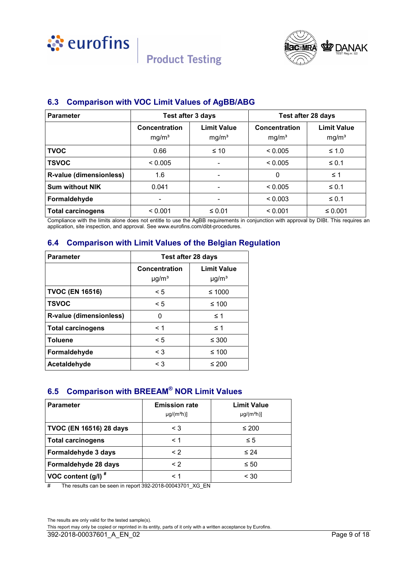<span id="page-8-0"></span>



# **6.3 Comparison with VOC Limit Values of AgBB/ABG**

**Product Testing** 

| <b>Parameter</b>         | Test after 3 days                  |                                         | Test after 28 days                 |                                         |
|--------------------------|------------------------------------|-----------------------------------------|------------------------------------|-----------------------------------------|
|                          | Concentration<br>mg/m <sup>3</sup> | <b>Limit Value</b><br>mg/m <sup>3</sup> | Concentration<br>mg/m <sup>3</sup> | <b>Limit Value</b><br>mg/m <sup>3</sup> |
| <b>TVOC</b>              | 0.66                               | $\leq 10$                               | < 0.005                            | $≤ 1.0$                                 |
| <b>TSVOC</b>             | < 0.005                            |                                         | < 0.005                            | $\leq 0.1$                              |
| R-value (dimensionless)  | 1.6                                |                                         | $\Omega$                           | $\leq$ 1                                |
| <b>Sum without NIK</b>   | 0.041                              |                                         | < 0.005                            | $\leq 0.1$                              |
| Formaldehyde             | ٠                                  |                                         | < 0.003                            | $\leq 0.1$                              |
| <b>Total carcinogens</b> | < 0.001                            | $\leq 0.01$                             | < 0.001                            | $\leq 0.001$                            |

Compliance with the limits alone does not entitle to use the AgBB requirements in conjunction with approval by DIBt. This requires an application, site inspection, and approval. See www.eurofins.com/dibt-procedures.

## **6.4 Comparison with Limit Values of the Belgian Regulation**

| <b>Parameter</b>         | Test after 28 days                      |                                              |  |
|--------------------------|-----------------------------------------|----------------------------------------------|--|
|                          | Concentration<br>$\mu$ g/m <sup>3</sup> | <b>Limit Value</b><br>$\mu$ g/m <sup>3</sup> |  |
| <b>TVOC (EN 16516)</b>   | $\leq 5$                                | ≤ 1000                                       |  |
| <b>TSVOC</b>             | $\leq 5$                                | ≤ 100                                        |  |
| R-value (dimensionless)  | 0                                       | $\leq 1$                                     |  |
| <b>Total carcinogens</b> | < 1                                     | $\leq 1$                                     |  |
| <b>Toluene</b>           | $\leq 5$                                | ≤ 300                                        |  |
| Formaldehyde             | $\leq 3$                                | ≤ 100                                        |  |
| Acetaldehyde             | < 3                                     | ≤ 200                                        |  |

## **6.5 Comparison with BREEAM® NOR Limit Values**

| <b>Parameter</b>               | <b>Emission rate</b><br>$\mu$ g/(m <sup>2</sup> h)] | <b>Limit Value</b><br>$\mu$ g/(m <sup>2</sup> h)] |
|--------------------------------|-----------------------------------------------------|---------------------------------------------------|
| <b>TVOC (EN 16516) 28 days</b> | $\leq 3$                                            | ≤ 200                                             |
| <b>Total carcinogens</b>       | $\leq 1$                                            | $\leq 5$                                          |
| Formaldehyde 3 days            | $\leq$ 2                                            | $\leq 24$                                         |
| Formaldehyde 28 days           | $\leq$ 2                                            | $\leq 50$                                         |
| VOC content $(g/l)^*$          | < 1                                                 | < 30                                              |

# The results can be seen in report 392-2018-00043701\_XG\_EN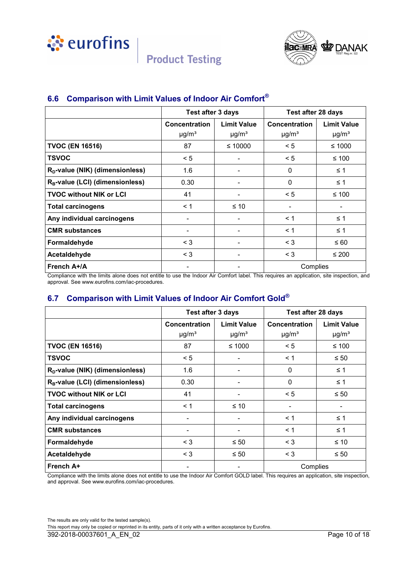<span id="page-9-0"></span>



## **6.6 Comparison with Limit Values of Indoor Air Comfort®**

|                                             | Test after 3 days                       |                                              | <b>Test after 28 days</b>               |                                              |
|---------------------------------------------|-----------------------------------------|----------------------------------------------|-----------------------------------------|----------------------------------------------|
|                                             | Concentration<br>$\mu$ g/m <sup>3</sup> | <b>Limit Value</b><br>$\mu$ g/m <sup>3</sup> | Concentration<br>$\mu$ g/m <sup>3</sup> | <b>Limit Value</b><br>$\mu$ g/m <sup>3</sup> |
| <b>TVOC (EN 16516)</b>                      | 87                                      | ≤ 10000                                      | < 5                                     | ≤ 1000                                       |
| <b>TSVOC</b>                                | < 5                                     |                                              | < 5                                     | ≤ 100                                        |
| R <sub>D</sub> -value (NIK) (dimensionless) | 1.6                                     |                                              | $\mathbf{0}$                            | ≤ 1                                          |
| R <sub>B</sub> -value (LCI) (dimensionless) | 0.30                                    |                                              | $\mathbf 0$                             | $\leq 1$                                     |
| <b>TVOC without NIK or LCI</b>              | 41                                      |                                              | < 5                                     | ≤ 100                                        |
| <b>Total carcinogens</b>                    | $\leq 1$                                | $\leq 10$                                    |                                         |                                              |
| Any individual carcinogens                  |                                         |                                              | < 1                                     | $\leq 1$                                     |
| <b>CMR substances</b>                       | ۰                                       |                                              | < 1                                     | $\leq 1$                                     |
| Formaldehyde                                | $\leq 3$                                |                                              | $\leq 3$                                | $\leq 60$                                    |
| Acetaldehyde                                | $\leq 3$                                |                                              | $\leq 3$                                | $≤ 200$                                      |
| French A+/A                                 |                                         |                                              | Complies                                |                                              |

Compliance with the limits alone does not entitle to use the Indoor Air Comfort label. This requires an application, site inspection, and approval. See www.eurofins.com/iac-procedures.

## **6.7 Comparison with Limit Values of Indoor Air Comfort Gold®**

|                                             | <b>Test after 3 days</b> |                          | Test after 28 days     |                        |
|---------------------------------------------|--------------------------|--------------------------|------------------------|------------------------|
|                                             | Concentration            | <b>Limit Value</b>       | Concentration          | <b>Limit Value</b>     |
|                                             | $\mu$ g/m <sup>3</sup>   | $\mu$ g/m <sup>3</sup>   | $\mu$ g/m <sup>3</sup> | $\mu$ g/m <sup>3</sup> |
| <b>TVOC (EN 16516)</b>                      | 87                       | $≤ 1000$                 | < 5                    | ≤ 100                  |
| <b>TSVOC</b>                                | < 5                      |                          | < 1                    | $\leq 50$              |
| R <sub>D</sub> -value (NIK) (dimensionless) | 1.6                      |                          | 0                      | $\leq 1$               |
| $R_B$ -value (LCI) (dimensionless)          | 0.30                     |                          | $\Omega$               | $\leq$ 1               |
| <b>TVOC without NIK or LCI</b>              | 41                       | $\overline{\phantom{a}}$ | < 5                    | $\leq 50$              |
| <b>Total carcinogens</b>                    | $\leq 1$                 | $\leq 10$                |                        |                        |
| Any individual carcinogens                  | ٠                        |                          | $\leq 1$               | $\leq$ 1               |
| <b>CMR substances</b>                       |                          |                          | $\leq 1$               | $\leq 1$               |
| Formaldehyde                                | $\leq 3$                 | $\leq 50$                | $\leq 3$               | ≤ 10                   |
| Acetaldehyde                                | $\leq 3$                 | $\leq 50$                | $<$ 3                  | $\leq 50$              |
| French A+                                   | ۰                        | ۰                        | Complies               |                        |

Compliance with the limits alone does not entitle to use the Indoor Air Comfort GOLD label. This requires an application, site inspection, and approval. See www.eurofins.com/iac-procedures.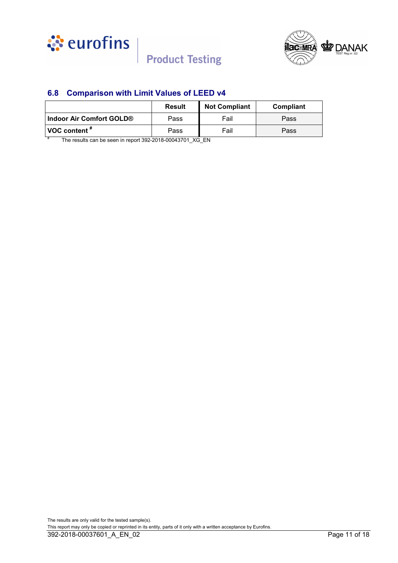<span id="page-10-0"></span>



## **6.8 Comparison with Limit Values of LEED v4**

|                                                              | <b>Result</b> | <b>Not Compliant</b> | Compliant |  |
|--------------------------------------------------------------|---------------|----------------------|-----------|--|
| ∣ Indoor Air Comfort GOLD®                                   | Pass          | Fail                 | Pass      |  |
| VOC content "                                                | Pass          | Fail                 | Pass      |  |
| The results can be seen in report 202.2018.00012701. VC. ENI |               |                      |           |  |

The results can be seen in report 392-2018-00043701\_XG\_EN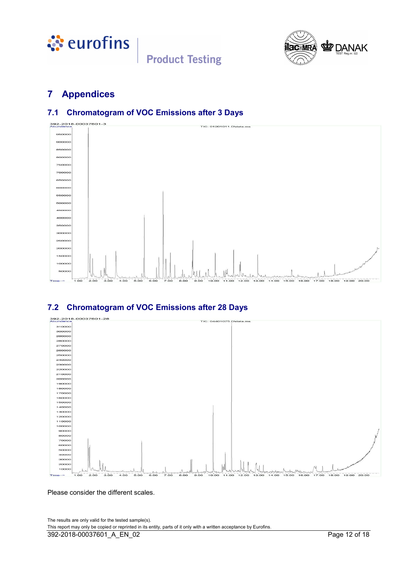<span id="page-11-0"></span>



# **7 Appendices**

## **7.1 Chromatogram of VOC Emissions after 3 Days**



## **7.2 Chromatogram of VOC Emissions after 28 Days**



Please consider the different scales.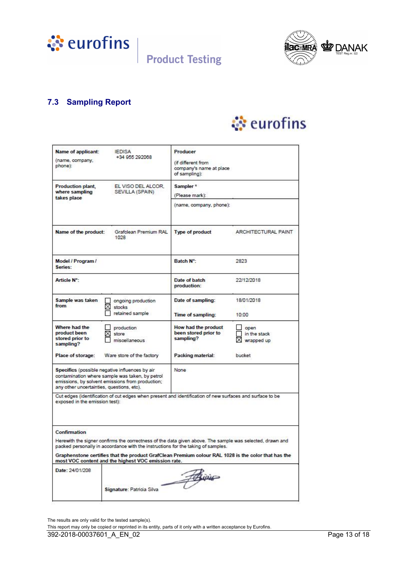<span id="page-12-0"></span>



## **7.3 Sampling Report**

# े eurofins

| Name of applicant:<br>(name, company,<br>phone):                                                                                                                                                   | <b>IEDISA</b><br>+34 955 292068                                                                                                         | Producer<br>(if different from<br>company's name at place<br>of sampling):                               |                                                                                                     |
|----------------------------------------------------------------------------------------------------------------------------------------------------------------------------------------------------|-----------------------------------------------------------------------------------------------------------------------------------------|----------------------------------------------------------------------------------------------------------|-----------------------------------------------------------------------------------------------------|
| <b>Production plant,</b><br>where sampling<br>takes place                                                                                                                                          | EL VISO DEL ALCOR.<br>SEVILLA (SPAIN)                                                                                                   | Sampler <sup>*</sup><br>(Please mark):                                                                   |                                                                                                     |
|                                                                                                                                                                                                    |                                                                                                                                         | (name, company, phone):                                                                                  |                                                                                                     |
| Name of the product:                                                                                                                                                                               | Grafolean Premium RAL<br>1028                                                                                                           | Type of product                                                                                          | ARCHITECTURAL PAINT                                                                                 |
| Model / Program /<br>Series:                                                                                                                                                                       |                                                                                                                                         | Batch N°:                                                                                                | 2823                                                                                                |
| <b>Article N°:</b>                                                                                                                                                                                 |                                                                                                                                         | Date of batch<br>production:                                                                             | 22/12/2018                                                                                          |
| Sample was taken<br>from                                                                                                                                                                           | ongoing production<br>$\times$ stocks<br>retained sample                                                                                | Date of sampling:<br><b>Time of sampling:</b>                                                            | 18/01/2018<br>10:00                                                                                 |
| Where had the<br>product been<br>stored prior to<br>sampling?                                                                                                                                      | production<br>store<br>miscellaneous                                                                                                    | How had the product<br>been stored prior to<br>sampling?                                                 | open<br>in the stack<br>×<br>wrapped up                                                             |
| Place of storage:                                                                                                                                                                                  | Ware store of the factory                                                                                                               | Packing material:                                                                                        | bucket                                                                                              |
| Specifics (possible negative influences by air<br>contamination where sample was taken, by petrol<br>emissions, by solvent emissions from production;<br>any other uncertainties, questions, etc). |                                                                                                                                         | None                                                                                                     |                                                                                                     |
| exposed in the emission test):                                                                                                                                                                     |                                                                                                                                         | Cut edges (identification of cut edges when present and identification of new surfaces and surface to be |                                                                                                     |
| Confirmation                                                                                                                                                                                       | packed personally in accordance with the instructions for the taking of samples.<br>most VOC content and the highest VOC emission rate. | Herewith the signer confirms the correctness of the data given above. The sample was selected, drawn and | Graphenstone certifies that the product GrafClean Premium colour RAL 1028 is the color that has the |
| Date: 24/01/208                                                                                                                                                                                    |                                                                                                                                         | 7000                                                                                                     |                                                                                                     |

The results are only valid for the tested sample(s).

This report may only be copied or reprinted in its entity, parts of it only with a written acceptance by Eurofins.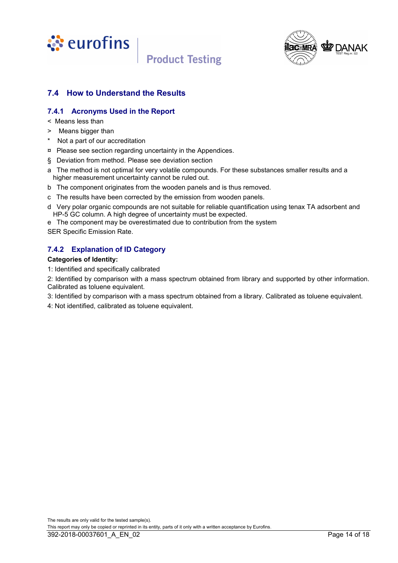<span id="page-13-0"></span>



## **7.4 How to Understand the Results**

### **7.4.1 Acronyms Used in the Report**

- < Means less than
- > Means bigger than
- \* Not a part of our accreditation
- ¤ Please see section regarding uncertainty in the Appendices.
- § Deviation from method. Please see deviation section
- a The method is not optimal for very volatile compounds. For these substances smaller results and a higher measurement uncertainty cannot be ruled out.
- b The component originates from the wooden panels and is thus removed.
- c The results have been corrected by the emission from wooden panels.
- d Very polar organic compounds are not suitable for reliable quantification using tenax TA adsorbent and HP-5 GC column. A high degree of uncertainty must be expected.
- e The component may be overestimated due to contribution from the system
- SER Specific Emission Rate.

## **7.4.2 Explanation of ID Category**

#### **Categories of Identity:**

1: Identified and specifically calibrated

2: Identified by comparison with a mass spectrum obtained from library and supported by other information. Calibrated as toluene equivalent.

- 3: Identified by comparison with a mass spectrum obtained from a library. Calibrated as toluene equivalent.
- 4: Not identified, calibrated as toluene equivalent.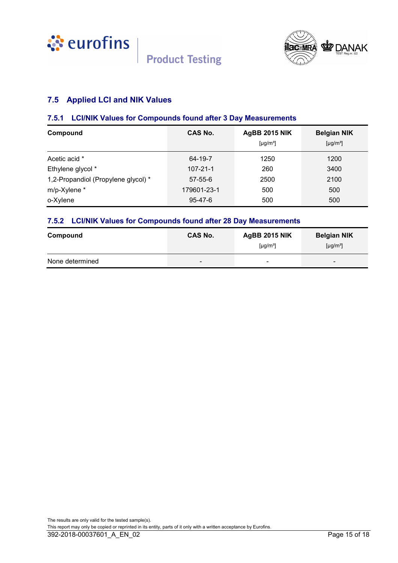<span id="page-14-0"></span>





## **7.5 Applied LCI and NIK Values**

#### **7.5.1 LCI/NIK Values for Compounds found after 3 Day Measurements**

| Compound                            | <b>CAS No.</b> | <b>AgBB 2015 NIK</b><br>[µg/m <sup>3</sup> ] | <b>Belgian NIK</b><br>$\lceil \mu q/m^3 \rceil$ |
|-------------------------------------|----------------|----------------------------------------------|-------------------------------------------------|
| Acetic acid *                       | 64-19-7        | 1250                                         | 1200                                            |
| Ethylene glycol *                   | $107 - 21 - 1$ | 260                                          | 3400                                            |
| 1,2-Propandiol (Propylene glycol) * | $57 - 55 - 6$  | 2500                                         | 2100                                            |
| m/p-Xylene *                        | 179601-23-1    | 500                                          | 500                                             |
| o-Xylene                            | $95 - 47 - 6$  | 500                                          | 500                                             |

### **7.5.2 LCI/NIK Values for Compounds found after 28 Day Measurements**

| Compound        | <b>CAS No.</b>           | <b>AgBB 2015 NIK</b><br>[ $\mu$ g/m <sup>3</sup> ] | <b>Belgian NIK</b><br>[ $\mu$ g/m <sup>3</sup> ] |
|-----------------|--------------------------|----------------------------------------------------|--------------------------------------------------|
| None determined | $\overline{\phantom{0}}$ | -                                                  | -                                                |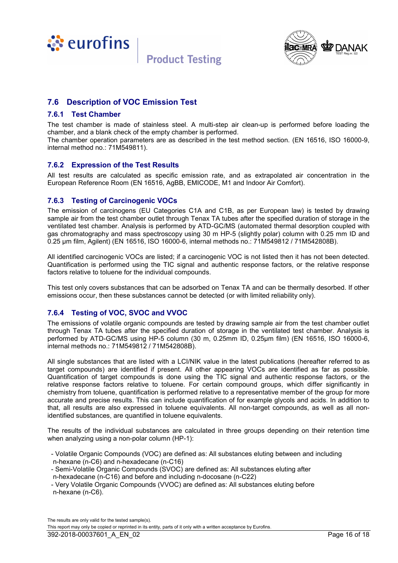<span id="page-15-0"></span>



## **7.6 Description of VOC Emission Test**

#### **7.6.1 Test Chamber**

The test chamber is made of stainless steel. A multi-step air clean-up is performed before loading the chamber, and a blank check of the empty chamber is performed.

The chamber operation parameters are as described in the test method section. (EN 16516, ISO 16000-9, internal method no.: 71M549811).

#### **7.6.2 Expression of the Test Results**

All test results are calculated as specific emission rate, and as extrapolated air concentration in the European Reference Room (EN 16516, AgBB, EMICODE, M1 and Indoor Air Comfort).

#### **7.6.3 Testing of Carcinogenic VOCs**

The emission of carcinogens (EU Categories C1A and C1B, as per European law) is tested by drawing sample air from the test chamber outlet through Tenax TA tubes after the specified duration of storage in the ventilated test chamber. Analysis is performed by ATD-GC/MS (automated thermal desorption coupled with gas chromatography and mass spectroscopy using 30 m HP-5 (slightly polar) column with 0.25 mm ID and 0.25 µm film, Agilent) (EN 16516, ISO 16000-6, internal methods no.: 71M549812 / 71M542808B).

All identified carcinogenic VOCs are listed; if a carcinogenic VOC is not listed then it has not been detected. Quantification is performed using the TIC signal and authentic response factors, or the relative response factors relative to toluene for the individual compounds.

This test only covers substances that can be adsorbed on Tenax TA and can be thermally desorbed. If other emissions occur, then these substances cannot be detected (or with limited reliability only).

### **7.6.4 Testing of VOC, SVOC and VVOC**

The emissions of volatile organic compounds are tested by drawing sample air from the test chamber outlet through Tenax TA tubes after the specified duration of storage in the ventilated test chamber. Analysis is performed by ATD-GC/MS using HP-5 column (30 m, 0.25mm ID, 0.25µm film) (EN 16516, ISO 16000-6, internal methods no.: 71M549812 / 71M542808B).

All single substances that are listed with a LCI/NIK value in the latest publications (hereafter referred to as target compounds) are identified if present. All other appearing VOCs are identified as far as possible. Quantification of target compounds is done using the TIC signal and authentic response factors, or the relative response factors relative to toluene. For certain compound groups, which differ significantly in chemistry from toluene, quantification is performed relative to a representative member of the group for more accurate and precise results. This can include quantification of for example glycols and acids. In addition to that, all results are also expressed in toluene equivalents. All non-target compounds, as well as all nonidentified substances, are quantified in toluene equivalents.

The results of the individual substances are calculated in three groups depending on their retention time when analyzing using a non-polar column (HP-1):

- Volatile Organic Compounds (VOC) are defined as: All substances eluting between and including n-hexane (n-C6) and n-hexadecane (n-C16)
- Semi-Volatile Organic Compounds (SVOC) are defined as: All substances eluting after
- n-hexadecane (n-C16) and before and including n-docosane (n-C22)
- Very Volatile Organic Compounds (VVOC) are defined as: All substances eluting before n-hexane (n-C6).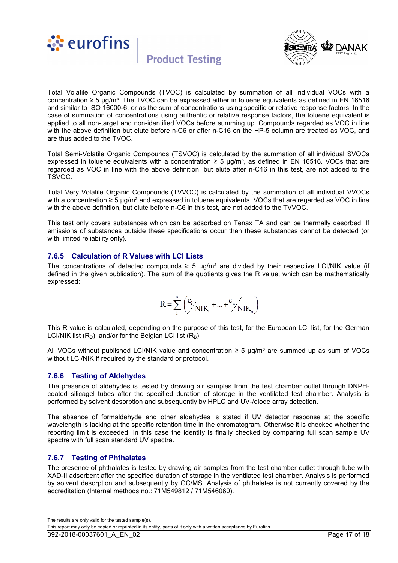



Total Volatile Organic Compounds (TVOC) is calculated by summation of all individual VOCs with a concentration ≥ 5 µg/m³. The TVOC can be expressed either in toluene equivalents as defined in EN 16516 and similar to ISO 16000-6, or as the sum of concentrations using specific or relative response factors. In the case of summation of concentrations using authentic or relative response factors, the toluene equivalent is applied to all non-target and non-identified VOCs before summing up. Compounds regarded as VOC in line with the above definition but elute before n-C6 or after n-C16 on the HP-5 column are treated as VOC, and are thus added to the TVOC.

Total Semi-Volatile Organic Compounds (TSVOC) is calculated by the summation of all individual SVOCs expressed in toluene equivalents with a concentration  $\geq 5$  µg/m<sup>3</sup>, as defined in EN 16516. VOCs that are regarded as VOC in line with the above definition, but elute after n-C16 in this test, are not added to the TSVOC.

Total Very Volatile Organic Compounds (TVVOC) is calculated by the summation of all individual VVOCs with a concentration  $\geq 5 \mu g/m^3$  and expressed in toluene equivalents. VOCs that are regarded as VOC in line with the above definition, but elute before n-C6 in this test, are not added to the TVVOC.

This test only covers substances which can be adsorbed on Tenax TA and can be thermally desorbed. If emissions of substances outside these specifications occur then these substances cannot be detected (or with limited reliability only).

#### **7.6.5 Calculation of R Values with LCI Lists**

The concentrations of detected compounds  $\geq 5$  µg/m<sup>3</sup> are divided by their respective LCI/NIK value (if defined in the given publication). The sum of the quotients gives the R value, which can be mathematically expressed:

$$
R = \sum_{i}^{n} \left( \bigvee_{i}^{c_i} \bigvee_{NIK_i} + ... + \bigvee_{i}^{c_n} \bigvee_{NIK_n} \right)
$$

This R value is calculated, depending on the purpose of this test, for the European LCI list, for the German LCI/NIK list  $(R_D)$ , and/or for the Belgian LCI list  $(R_B)$ .

All VOCs without published LCI/NIK value and concentration  $≥ 5 \mu q/m<sup>3</sup>$  are summed up as sum of VOCs without LCI/NIK if required by the standard or protocol.

#### **7.6.6 Testing of Aldehydes**

The presence of aldehydes is tested by drawing air samples from the test chamber outlet through DNPHcoated silicagel tubes after the specified duration of storage in the ventilated test chamber. Analysis is performed by solvent desorption and subsequently by HPLC and UV-/diode array detection.

The absence of formaldehyde and other aldehydes is stated if UV detector response at the specific wavelength is lacking at the specific retention time in the chromatogram. Otherwise it is checked whether the reporting limit is exceeded. In this case the identity is finally checked by comparing full scan sample UV spectra with full scan standard UV spectra.

### **7.6.7 Testing of Phthalates**

The presence of phthalates is tested by drawing air samples from the test chamber outlet through tube with XAD-II adsorbent after the specified duration of storage in the ventilated test chamber. Analysis is performed by solvent desorption and subsequently by GC/MS. Analysis of phthalates is not currently covered by the accreditation (Internal methods no.: 71M549812 / 71M546060).